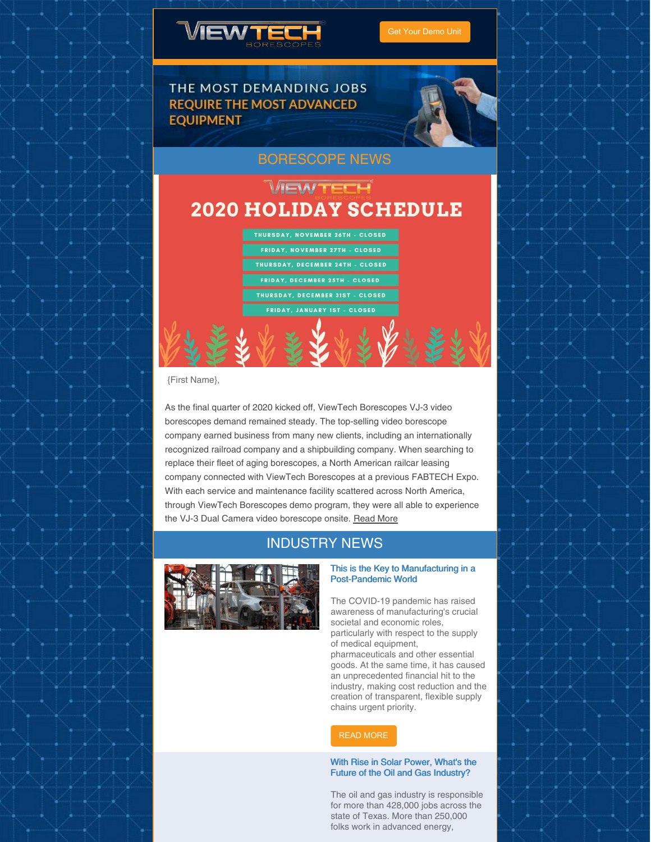

Get Your [Demo](https://www.viewtech.com/borescope-demo-offer/?utm_source=newsletter&utm_medium=email&utm_campaign=newsletter1120) Unit



# [BORESCOPE](https://www.viewtech.com/news/?utm_source=newsletter&utm_medium=email&utm_campaign=newsletter1120) NEWS

# VEWTECH **2020 HOLIDAY SCHEDULE**

THURSDAY, NOVEMBER 26TH - CLOSED FRIDAY, NOVEMBER 27TH - CLOSED .<br>Thursday, December 24th - Closed FRIDAY, DECEMBER 25TH - CLOSED THURSDAY, DECEMBER 31ST - CLOSED FRIDAY, JANUARY 1ST - CLOSED

{First Name},

As the final quarter of 2020 kicked off, ViewTech Borescopes VJ-3 video borescopes demand remained steady. The top-selling video borescope company earned business from many new clients, including an internationally recognized railroad company and a shipbuilding company. When searching to replace their fleet of aging borescopes, a North American railcar leasing company connected with ViewTech Borescopes at a previous FABTECH Expo. With each service and maintenance facility scattered across North America, through ViewTech Borescopes demo program, they were all able to experience the VJ-3 Dual Camera video borescope onsite. [Read](https://www.viewtech.com/video-borescope-2020-4th-quarter-sales-off-to-strong-start/?utm_source=newsletter&utm_medium=email&utm_campaign=newsletter1120) More

# INDUSTRY NEWS



### This is the Key to Manufacturing in a Post-Pandemic World

The COVID-19 pandemic has raised awareness of manufacturing's crucial societal and economic roles, particularly with respect to the supply of medical equipment,

pharmaceuticals and other essential goods. At the same time, it has caused an unprecedented financial hit to the industry, making cost reduction and the creation of transparent, flexible supply chains urgent priority.

### READ [MORE](https://www.weforum.org/agenda/2020/11/this-is-the-key-to-manufacturing-in-a-post-pandemic-world/)

### With Rise in Solar Power, What's the Future of the Oil and Gas Industry?

The oil and gas industry is responsible for more than 428,000 jobs across the state of Texas. More than 250,000 folks work in advanced energy,